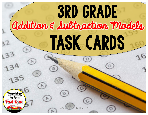# 3RD GRADE Addition & Subtraction Models task cards Teaching<br>in the *laine* ©TeachingInTheFastLaneLLC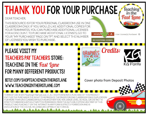### **THANK YOU FOR YOUR PURCHASE,**

#### DEAR TEACHER.

THIS RESOURCE IS FOR YOUR PERSONAL CLASSROOM USE IN ONE CLASSROOM ONLY. IF YOU WOULD LIKE ADDITIONAL COPIES FOR YOUR TEAMMATES. YOU CAN PURCHASE ADDITIONAL LICENSES FOR A DISCOUNT. TO PURCHASE ADDITIONAL LICENSES, GO TO YOUR "MY PURCHASES" PAGE ON TPT AND SELECT THE NUMBER OF LICENSES YOU WISH TO PURCHASE.

**BUY ADDITIONAL LICENSE** 

**DOWNL** 

PLEASE VISIT MY **TEACHERS PAY TEACHERS STORE: TEACHING IN THE Fast Lane** FOR MANY DIFFERENT PRODUCTS!

BITLY.COM/SHOPTEACHINGINTHEFASTLANE WWW.TEACHINGINTHEFASTLANE.COM

KG Fonts

leaching

User License(s) Purchased

Cover photo from Deposit Photos

Credits:

TERMS OF USE: © 2017TeachingInTheFastLaneLLC. ALL RIGHTS RESERVED, PURCHASE ENTITI ES THE PURCHASER THE RIGHT TO REPRODUCE THE PAGES FOR ONE CLASSROOM ONLY. DUPLICATION FOR MORE THAN ONE CLASSROOM SUCH AS ANOTHER TEACHER. GRADE LEVEL. SCHOOL. OR DISTRICT IS STRICTLY FORBIDDEN WITHOUT WRITTEN PERMISSION FROM THE AUTHOR, COPYING ANY PART OF THIS PRODUCT AND PLACING IT ON THE INTERNET IN ANY FORM IS STRICTLY FORBIDDEN AND IS A VIOLATION OF THE DIGTIAL MILLENNIUM COPYRIGHT ACT (DMCA).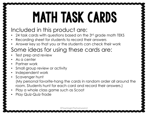## math task cards

#### Included in this product are:

- 24 task cards with questions based on the 3rd grade math TEKS
- Recording sheet for students to record their answers
- Answer key so that you or the students can check their work

### Some ideas for using these cards are:

- Test prep and review
- As a center
- Partner work
- Small group review or activity
- Independent work
- Scavenger hunt (My personal favorite-hang the cards in random order all around the room. Students hunt for each card and record their answers.)
- Play a whole class game such as Scoot
- Play Quiz-Quiz-Trade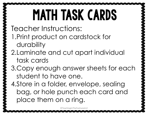## math task cards

Teacher Instructions:

- 1.Print product on cardstock for durability
- 2.Laminate and cut apart individual task cards
- 3.Copy enough answer sheets for each student to have one.

4.Store in a folder, envelope, sealing bag, or hole punch each card and place them on a ring.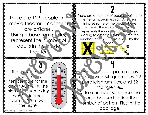There are 129 people in a movie theater. 19 of them are children. Using a base ten model, represent the number of adults in the movie theater.

 $rac{60}{50}$   $\frac{11}{11}$ 

 $\equiv$  30  $\overline{\equiv}$  20

 $\begin{array}{ccc} & & \ & \circ & & 2 \\ & & \circ & & \end{array}$ There are a number of people vaiting to enter a museum exhibit. Afte ten minutes some of the people have entered the exhibit.  $\sim$  n  $\sqrt{2}$ represents the number of people still waiting to enter the *Exhipide Write the* number sentence represent ad by the **<sup>X</sup> X <sup>X</sup>**

model.

**X** 

The the moment shows the w ten per the for the day in Austin, TX. The high of the same day was 12 degrees warmer. V hat was the high?

3 4 A particle of pattern tiles com with 54 square tiles, 29 parallelogram tiles, and 32 triangle tiles. Write a number sentence that could be used to find the number of pattern tiles in the PachingInTheFastLaneLLC **Contract Contract Contract Contract Contract Contract Contract Contract Contract Contract Contract Contract Contract Contract Contract Contract Contract Contract Contract Contract Contract Contract**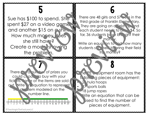Sue has \$100 to spend. She spent \$27 on a video game and another  $$15$  on  $\sim$  shirt. How much money Moes she still have? Create a model showing the problem.

There are 48 girls and 57 boys in the third grade at Franklin Elementary. They are going on a "eld trip" ind each student needs to  $b_n$  \$4. So far, 36 students have brought their money.

5 6

7 8 9 7 8

Write an equation to find now many students stuble edd to bring their field tri<sub>n</sub> money?

There are a number of prizes you could choose to buy with your tick  $ets.$  on  $\theta$  of the items are sold out. Write in equation to represent the problem modeled on the number line.

2 3 4 5 - 7 8 9 10 11 12 13 14 15 16 17 18 19 20

The PE equipment room has the following pieces of equipment: 2 hula hoops 17 sports balls 18 jump ropes Write an equation that can be used to find the number of

pieces of equipment.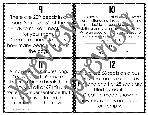There are 209 beads in a bag. You use 150 of the beads to make a necklac for your mom. Create a model to show how many beads are left in the bag.

**9 10** There are 97 pieces of cloting in Kyra's closet. After going through the clothing she decides to keep  $63 p \sim 20$  of clothing as shown in the model below. Write an equation that can be used to show how many pieces of clothing she is gotting dof.

**97** 

**63 ?** 

1 1 12 A monie is 21<sup>4</sup> minutes long. You watched 49 minutes be fore to king a break then wetched another 87 minutes. Write a number sentence that could  $b \ge 0$  used to find the minutes left in the movie.

here are 68 seats on a bus. 14 on the seats are filled by k. d. and another 28 seats are filled by adults. Create a model showing how many seats on the bus are empty.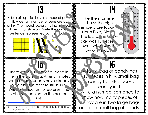A box of supplies has a number of pens in it. A certain number of pens are out of ink. The model represents the number  $\sum_{n=1}^{\infty}$ of pens that still work. Write the number sentence represented by the mode

**X X** 

9 10 11 12 13 14 15 16 17 18 19 20

The thermometer shows the high temperature today .. North Pole, Alaska. The low of the same day was 13 degrees lower. What was the low of the day?

 $80 -$ 

30  $.20$ 

 $\frac{13}{8}$  H

 $\mathbf{\hat{x}}$ 

怒

SSS<br>SSS

There are a number of students in line in the cafe ia. After 3 minutes some on the students have already paid and the rest are still in line. Write an equation to represent the problem modeled on the number line.

8

©TeachingInTheFas

15 15 16 A large bag of candy has 19 feces in it. A small bag candy has 48 pieces of candy in it. Write a number sentence to how how many pieces of

cundy are in two large bags and one small bag of candy.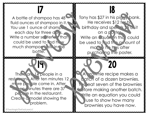A bottle of shampoo has 48 fluid ounces of shampoo in it. You use 1 ounce of shample each day for three days. Write a number sentence that could be used to find how much shampoor if still in the bottle.

Tony has \$27 in his piggy bank. He receives \$12 for his birthday and spends  $\sqrt{5}$  of it on a poster. Write an Cauction the could be used to find the amount of  $mc_1$ ,  $\sqrt{h}$  has after purchasing the poster.

 $\frac{17}{2}$ 

19 20

E

There are 14 people in a rest Can After ten minutes 12 more people come in. After  $f_{\text{in}}$  inutes there are 37 people in the restaurant. Created a model showing the problem.

A *provinie* recipe makes a batch of a dozen brownies. Yu eat seven of the brownies before making another batch. Write an equation you could use to show how many brownies you have now.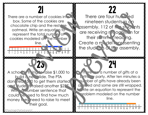There are a number of cookies in box. Some of the cookies are chocolate chip and the restare oatmeal. Write an equation to represent the total number of cookies modeled on the number line.

 $8<sup>1</sup>$ 

9 10 11 12 13 14 15 16 17 18 19 20

 $21$   $32$ There are four hundred nineteen students in an assembly. 112 of the students are receiving recognition for their summer reading. Create a model por esenting the students  $a^t$  the assembly.

A school is trying to raise  $$1,000$  to build c new slide. The PTA don ited \$500 to get them started and tudents raised another \$227. Write **A number sentence that** could be used to find how much money they need to raise to meet their goal.

### 23 23 24 25

There are a number of gifts at a Lither y party. After ten minutes a **REACT** number of gifts have already been of ened and some are still wrapped. Write an equation to represent the problem modeled on the number line.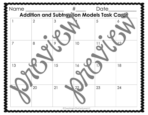